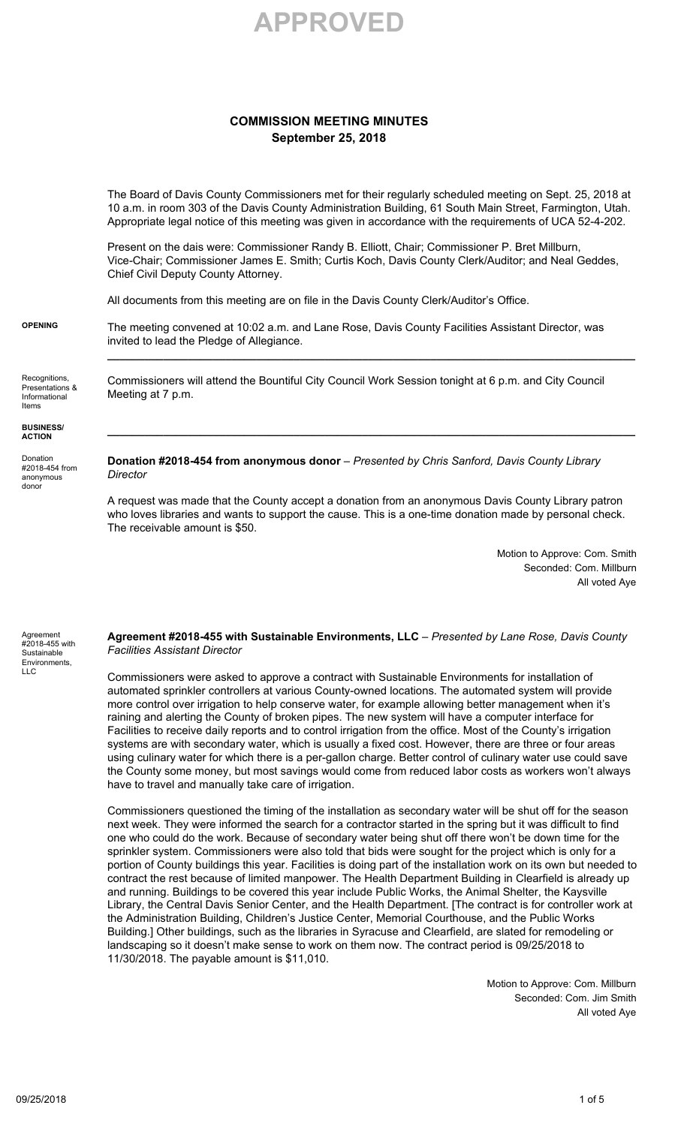

## **COMMISSION MEETING MINUTES September 25, 2018**

The Board of Davis County Commissioners met for their regularly scheduled meeting on Sept. 25, 2018 at 10 a.m. in room 303 of the Davis County Administration Building, 61 South Main Street, Farmington, Utah. Appropriate legal notice of this meeting was given in accordance with the requirements of UCA 52-4-202.

Present on the dais were: Commissioner Randy B. Elliott, Chair; Commissioner P. Bret Millburn, Vice-Chair; Commissioner James E. Smith; Curtis Koch, Davis County Clerk/Auditor; and Neal Geddes, Chief Civil Deputy County Attorney.

All documents from this meeting are on file in the Davis County Clerk/Auditor's Office.

**OPENING** The meeting convened at 10:02 a.m. and Lane Rose, Davis County Facilities Assistant Director, was invited to lead the Pledge of Allegiance.

**\_\_\_\_\_\_\_\_\_\_\_\_\_\_\_\_\_\_\_\_\_\_\_\_\_\_\_\_\_\_\_\_\_\_\_\_\_\_\_\_\_\_\_\_\_\_\_\_\_\_\_\_\_\_\_\_\_\_\_\_\_\_\_\_\_\_\_\_\_\_\_\_\_\_\_\_\_\_\_\_\_\_\_\_\_**

**\_\_\_\_\_\_\_\_\_\_\_\_\_\_\_\_\_\_\_\_\_\_\_\_\_\_\_\_\_\_\_\_\_\_\_\_\_\_\_\_\_\_\_\_\_\_\_\_\_\_\_\_\_\_\_\_\_\_\_\_\_\_\_\_\_\_\_\_\_\_\_\_\_\_\_\_\_\_\_\_\_\_\_\_\_**

Recognitions, Presentations & Informational Items

Commissioners will attend the Bountiful City Council Work Session tonight at 6 p.m. and City Council Meeting at 7 p.m.

**BUSINESS/ ACTION**

Donation #2018-454 from anonymous donor

**Donation #2018-454 from anonymous donor** – *Presented by Chris Sanford, Davis County Library Director*

A request was made that the County accept a donation from an anonymous Davis County Library patron who loves libraries and wants to support the cause. This is a one-time donation made by personal check. The receivable amount is \$50.

> Motion to Approve: Com. Smith Seconded: Com. Millburn All voted Aye

Agreement #2018-455 with **Sustainable** Environments, LLC

**Agreement #2018-455 with Sustainable Environments, LLC** – *Presented by Lane Rose, Davis County Facilities Assistant Director*

Commissioners were asked to approve a contract with Sustainable Environments for installation of automated sprinkler controllers at various County-owned locations. The automated system will provide more control over irrigation to help conserve water, for example allowing better management when it's raining and alerting the County of broken pipes. The new system will have a computer interface for Facilities to receive daily reports and to control irrigation from the office. Most of the County's irrigation systems are with secondary water, which is usually a fixed cost. However, there are three or four areas using culinary water for which there is a per-gallon charge. Better control of culinary water use could save the County some money, but most savings would come from reduced labor costs as workers won't always have to travel and manually take care of irrigation.

Commissioners questioned the timing of the installation as secondary water will be shut off for the season next week. They were informed the search for a contractor started in the spring but it was difficult to find one who could do the work. Because of secondary water being shut off there won't be down time for the sprinkler system. Commissioners were also told that bids were sought for the project which is only for a portion of County buildings this year. Facilities is doing part of the installation work on its own but needed to contract the rest because of limited manpower. The Health Department Building in Clearfield is already up and running. Buildings to be covered this year include Public Works, the Animal Shelter, the Kaysville Library, the Central Davis Senior Center, and the Health Department. [The contract is for controller work at the Administration Building, Children's Justice Center, Memorial Courthouse, and the Public Works Building.] Other buildings, such as the libraries in Syracuse and Clearfield, are slated for remodeling or landscaping so it doesn't make sense to work on them now. The contract period is 09/25/2018 to 11/30/2018. The payable amount is \$11,010.

> Motion to Approve: Com. Millburn Seconded: Com. Jim Smith All voted Aye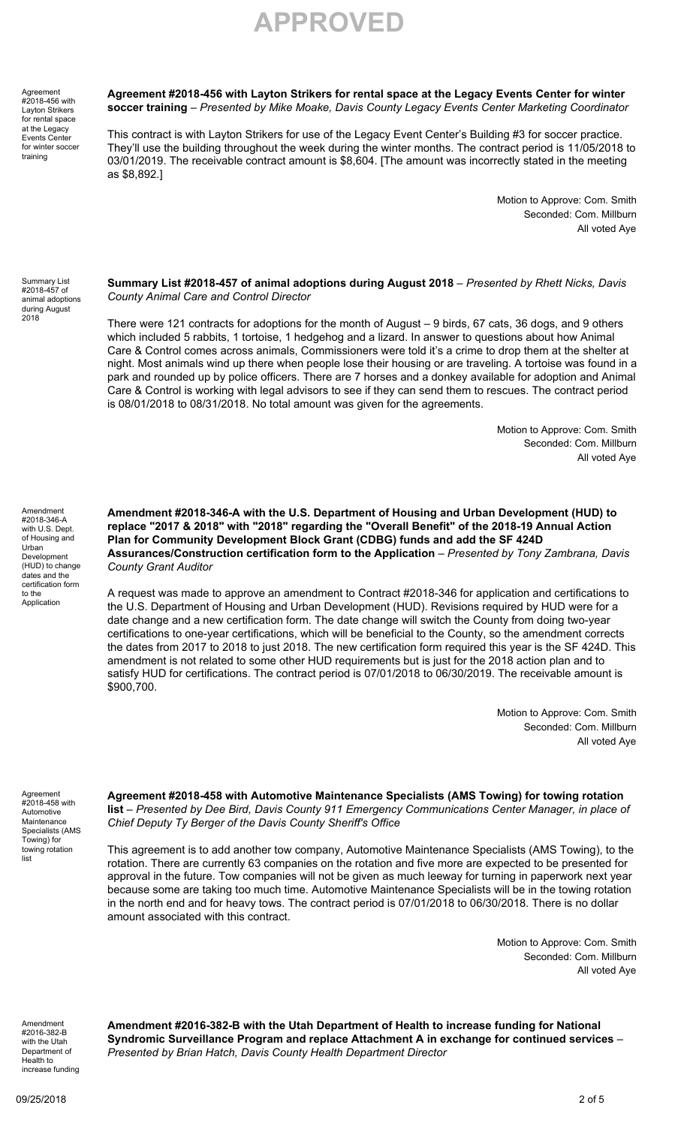**APPROVED**

**Agreement** #2018-456 with Layton Strikers rental space at the Legacy Events Center for winter soccer training

**Agreement #2018-456 with Layton Strikers for rental space at the Legacy Events Center for winter soccer training** – *Presented by Mike Moake, Davis County Legacy Events Center Marketing Coordinator*

This contract is with Layton Strikers for use of the Legacy Event Center's Building #3 for soccer practice. They'll use the building throughout the week during the winter months. The contract period is 11/05/2018 to 03/01/2019. The receivable contract amount is \$8,604. [The amount was incorrectly stated in the meeting as \$8,892.]

> Motion to Approve: Com. Smith Seconded: Com. Millburn All voted Aye

Summary List #2018-457 of animal adoptions during August 2018

**Summary List #2018-457 of animal adoptions during August 2018** – *Presented by Rhett Nicks, Davis County Animal Care and Control Director*

There were 121 contracts for adoptions for the month of August – 9 birds, 67 cats, 36 dogs, and 9 others which included 5 rabbits, 1 tortoise, 1 hedgehog and a lizard. In answer to questions about how Animal Care & Control comes across animals, Commissioners were told it's a crime to drop them at the shelter at night. Most animals wind up there when people lose their housing or are traveling. A tortoise was found in a park and rounded up by police officers. There are 7 horses and a donkey available for adoption and Animal Care & Control is working with legal advisors to see if they can send them to rescues. The contract period is 08/01/2018 to 08/31/2018. No total amount was given for the agreements.

> Motion to Approve: Com. Smith Seconded: Com. Millburn All voted Aye

Amendment #2018-346-A with U.S. Dept. of Housing and Urban Development (HUD) to change dates and the certification form to the Application

**Amendment #2018-346-A with the U.S. Department of Housing and Urban Development (HUD) to replace "2017 & 2018" with "2018" regarding the "Overall Benefit" of the 2018-19 Annual Action Plan for Community Development Block Grant (CDBG) funds and add the SF 424D Assurances/Construction certification form to the Application** – *Presented by Tony Zambrana, Davis County Grant Auditor*

A request was made to approve an amendment to Contract #2018-346 for application and certifications to the U.S. Department of Housing and Urban Development (HUD). Revisions required by HUD were for a date change and a new certification form. The date change will switch the County from doing two-year certifications to one-year certifications, which will be beneficial to the County, so the amendment corrects the dates from 2017 to 2018 to just 2018. The new certification form required this year is the SF 424D. This amendment is not related to some other HUD requirements but is just for the 2018 action plan and to satisfy HUD for certifications. The contract period is 07/01/2018 to 06/30/2019. The receivable amount is \$900,700.

> Motion to Approve: Com. Smith Seconded: Com. Millburn All voted Aye

Agreement #2018-458 with Automotive Maintenance Specialists (AMS Towing) for towing rotation list

**Agreement #2018-458 with Automotive Maintenance Specialists (AMS Towing) for towing rotation list** – *Presented by Dee Bird, Davis County 911 Emergency Communications Center Manager, in place of Chief Deputy Ty Berger of the Davis County Sheriff's Office*

This agreement is to add another tow company, Automotive Maintenance Specialists (AMS Towing), to the rotation. There are currently 63 companies on the rotation and five more are expected to be presented for approval in the future. Tow companies will not be given as much leeway for turning in paperwork next year because some are taking too much time. Automotive Maintenance Specialists will be in the towing rotation in the north end and for heavy tows. The contract period is 07/01/2018 to 06/30/2018. There is no dollar amount associated with this contract.

> Motion to Approve: Com. Smith Seconded: Com. Millburn All voted Aye

Amendment #2016-382-B with the Utah Department of Health to increase funding **Amendment #2016-382-B with the Utah Department of Health to increase funding for National Syndromic Surveillance Program and replace Attachment A in exchange for continued services** – *Presented by Brian Hatch, Davis County Health Department Director*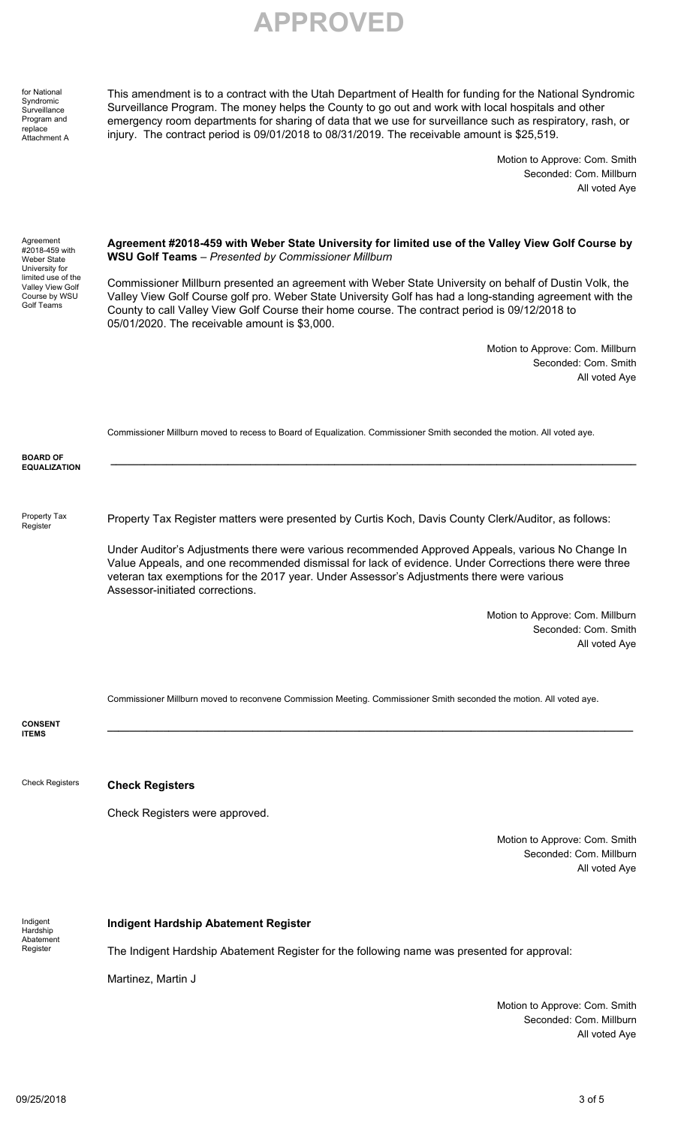**APPROVED**

for National Syndromic **Surveillance** Program and replace Attachment A

This amendment is to a contract with the Utah Department of Health for funding for the National Syndromic Surveillance Program. The money helps the County to go out and work with local hospitals and other emergency room departments for sharing of data that we use for surveillance such as respiratory, rash, or injury. The contract period is 09/01/2018 to 08/31/2019. The receivable amount is \$25,519.

> Motion to Approve: Com. Smith Seconded: Com. Millburn All voted Aye

| Agreement<br>#2018-459 with<br>Weber State<br>University for<br>limited use of the<br>Valley View Golf<br>Course by WSU<br>Golf Teams | Agreement #2018-459 with Weber State University for limited use of the Valley View Golf Course by<br><b>WSU Golf Teams</b> - Presented by Commissioner Millburn                                                                                                                                                                                                       |
|---------------------------------------------------------------------------------------------------------------------------------------|-----------------------------------------------------------------------------------------------------------------------------------------------------------------------------------------------------------------------------------------------------------------------------------------------------------------------------------------------------------------------|
|                                                                                                                                       | Commissioner Millburn presented an agreement with Weber State University on behalf of Dustin Volk, the<br>Valley View Golf Course golf pro. Weber State University Golf has had a long-standing agreement with the<br>County to call Valley View Golf Course their home course. The contract period is 09/12/2018 to<br>05/01/2020. The receivable amount is \$3,000. |
|                                                                                                                                       | Motion to Approve: Com. Millburn                                                                                                                                                                                                                                                                                                                                      |
|                                                                                                                                       | Seconded: Com. Smith<br>All voted Aye                                                                                                                                                                                                                                                                                                                                 |
|                                                                                                                                       | Commissioner Millburn moved to recess to Board of Equalization. Commissioner Smith seconded the motion. All voted aye.                                                                                                                                                                                                                                                |
| <b>BOARD OF</b>                                                                                                                       |                                                                                                                                                                                                                                                                                                                                                                       |
| <b>EQUALIZATION</b>                                                                                                                   |                                                                                                                                                                                                                                                                                                                                                                       |
| Property Tax<br>Register                                                                                                              | Property Tax Register matters were presented by Curtis Koch, Davis County Clerk/Auditor, as follows:                                                                                                                                                                                                                                                                  |
|                                                                                                                                       | Under Auditor's Adjustments there were various recommended Approved Appeals, various No Change In<br>Value Appeals, and one recommended dismissal for lack of evidence. Under Corrections there were three<br>veteran tax exemptions for the 2017 year. Under Assessor's Adjustments there were various<br>Assessor-initiated corrections.                            |
|                                                                                                                                       | Motion to Approve: Com. Millburn                                                                                                                                                                                                                                                                                                                                      |
|                                                                                                                                       | Seconded: Com. Smith<br>All voted Aye                                                                                                                                                                                                                                                                                                                                 |
|                                                                                                                                       | Commissioner Millburn moved to reconvene Commission Meeting. Commissioner Smith seconded the motion. All voted aye.                                                                                                                                                                                                                                                   |
| <b>CONSENT</b><br><b>ITEMS</b>                                                                                                        |                                                                                                                                                                                                                                                                                                                                                                       |
| <b>Check Registers</b>                                                                                                                | <b>Check Registers</b>                                                                                                                                                                                                                                                                                                                                                |
|                                                                                                                                       | Check Registers were approved.                                                                                                                                                                                                                                                                                                                                        |
|                                                                                                                                       | Motion to Approve: Com. Smith                                                                                                                                                                                                                                                                                                                                         |
|                                                                                                                                       | Seconded: Com. Millburn<br>All voted Aye                                                                                                                                                                                                                                                                                                                              |
|                                                                                                                                       |                                                                                                                                                                                                                                                                                                                                                                       |
| Indigent<br>Hardship<br>Abatement<br>Register                                                                                         | <b>Indigent Hardship Abatement Register</b>                                                                                                                                                                                                                                                                                                                           |
|                                                                                                                                       | The Indigent Hardship Abatement Register for the following name was presented for approval:                                                                                                                                                                                                                                                                           |
|                                                                                                                                       | Martinez, Martin J                                                                                                                                                                                                                                                                                                                                                    |
|                                                                                                                                       | Motion to Approve: Com. Smith                                                                                                                                                                                                                                                                                                                                         |
|                                                                                                                                       | Seconded: Com. Millburn                                                                                                                                                                                                                                                                                                                                               |

All voted Aye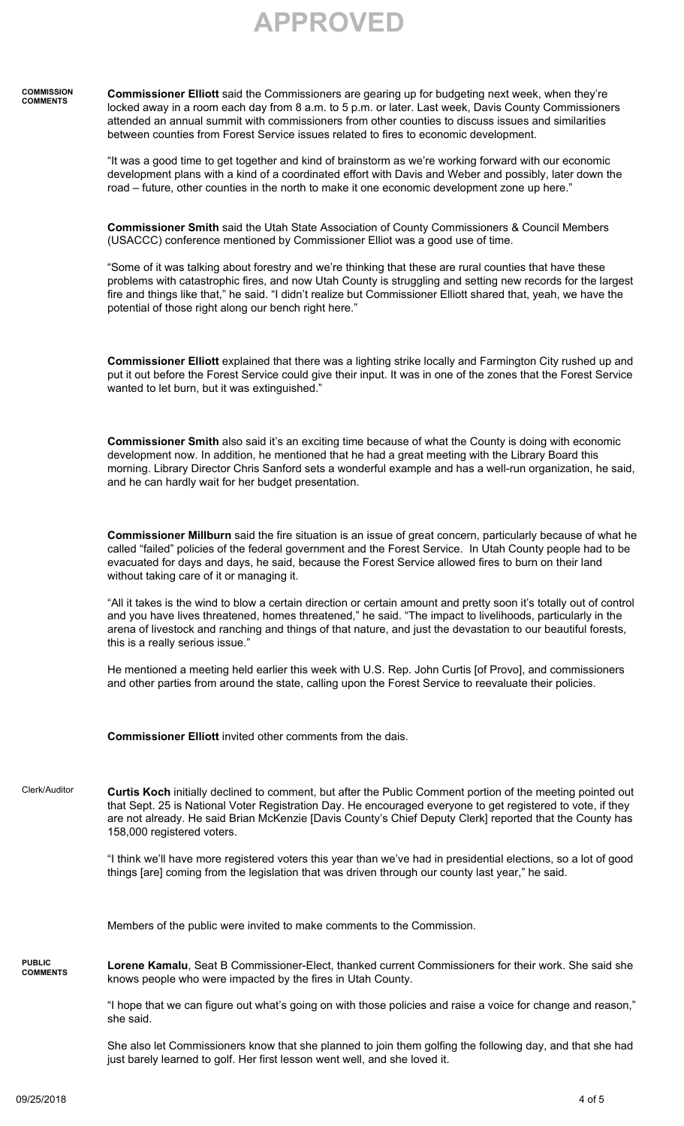**APPROVED**

## **COMMISSION COMMENTS Commissioner Elliott** said the Commissioners are gearing up for budgeting next week, when they're locked away in a room each day from 8 a.m. to 5 p.m. or later. Last week, Davis County Commissioners attended an annual summit with commissioners from other counties to discuss issues and similarities between counties from Forest Service issues related to fires to economic development.

"It was a good time to get together and kind of brainstorm as we're working forward with our economic development plans with a kind of a coordinated effort with Davis and Weber and possibly, later down the road – future, other counties in the north to make it one economic development zone up here."

**Commissioner Smith** said the Utah State Association of County Commissioners & Council Members (USACCC) conference mentioned by Commissioner Elliot was a good use of time.

"Some of it was talking about forestry and we're thinking that these are rural counties that have these problems with catastrophic fires, and now Utah County is struggling and setting new records for the largest fire and things like that," he said. "I didn't realize but Commissioner Elliott shared that, yeah, we have the potential of those right along our bench right here."

**Commissioner Elliott** explained that there was a lighting strike locally and Farmington City rushed up and put it out before the Forest Service could give their input. It was in one of the zones that the Forest Service wanted to let burn, but it was extinguished."

**Commissioner Smith** also said it's an exciting time because of what the County is doing with economic development now. In addition, he mentioned that he had a great meeting with the Library Board this morning. Library Director Chris Sanford sets a wonderful example and has a well-run organization, he said, and he can hardly wait for her budget presentation.

**Commissioner Millburn** said the fire situation is an issue of great concern, particularly because of what he called "failed" policies of the federal government and the Forest Service. In Utah County people had to be evacuated for days and days, he said, because the Forest Service allowed fires to burn on their land without taking care of it or managing it.

"All it takes is the wind to blow a certain direction or certain amount and pretty soon it's totally out of control and you have lives threatened, homes threatened," he said. "The impact to livelihoods, particularly in the arena of livestock and ranching and things of that nature, and just the devastation to our beautiful forests, this is a really serious issue."

He mentioned a meeting held earlier this week with U.S. Rep. John Curtis [of Provo], and commissioners and other parties from around the state, calling upon the Forest Service to reevaluate their policies.

**Commissioner Elliott** invited other comments from the dais.

Clerk/Auditor **Curtis Koch** initially declined to comment, but after the Public Comment portion of the meeting pointed out that Sept. 25 is National Voter Registration Day. He encouraged everyone to get registered to vote, if they are not already. He said Brian McKenzie [Davis County's Chief Deputy Clerk] reported that the County has 158,000 registered voters.

> "I think we'll have more registered voters this year than we've had in presidential elections, so a lot of good things [are] coming from the legislation that was driven through our county last year," he said.

Members of the public were invited to make comments to the Commission.

**PUBLIC COMMENTS Lorene Kamalu**, Seat B Commissioner-Elect, thanked current Commissioners for their work. She said she knows people who were impacted by the fires in Utah County.

> "I hope that we can figure out what's going on with those policies and raise a voice for change and reason," she said.

> She also let Commissioners know that she planned to join them golfing the following day, and that she had just barely learned to golf. Her first lesson went well, and she loved it.